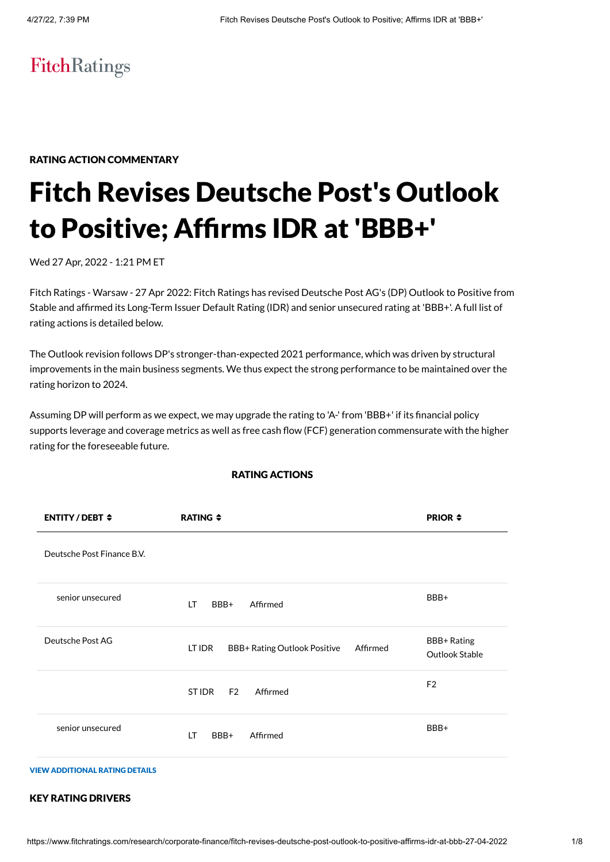## FitchRatings

RATING ACTION COMMENTARY

# Fitch Revises Deutsche Post's Outlook to Positive; Affirms IDR at 'BBB+'

Wed 27 Apr, 2022 - 1:21 PM ET

Fitch Ratings - Warsaw - 27 Apr 2022: Fitch Ratings has revised Deutsche Post AG's (DP) Outlook to Positive from Stable and affirmed its Long-Term Issuer Default Rating (IDR) and senior unsecured rating at 'BBB+'. A full list of rating actions is detailed below.

The Outlook revision follows DP's stronger-than-expected 2021 performance, which was driven by structural improvements in the main business segments. We thus expect the strong performance to be maintained over the rating horizon to 2024.

Assuming DP will perform as we expect, we may upgrade the rating to 'A-' from 'BBB+' if its financial policy supports leverage and coverage metrics as well as free cash flow (FCF) generation commensurate with the higher rating for the foreseeable future.

| ENTITY/DEBT $\div$         | <b>RATING ≑</b>                                    | <b>PRIOR <math>\div</math></b>              |
|----------------------------|----------------------------------------------------|---------------------------------------------|
| Deutsche Post Finance B.V. |                                                    |                                             |
| senior unsecured           | Affirmed<br>LT<br>BBB+                             | BBB+                                        |
| Deutsche Post AG           | BBB+ Rating Outlook Positive<br>Affirmed<br>LT IDR | <b>BBB+ Rating</b><br><b>Outlook Stable</b> |
|                            | ST IDR<br><b>F2</b><br>Affirmed                    | F <sub>2</sub>                              |
| senior unsecured           | BBB+<br>Affirmed<br>LT                             | BBB+                                        |
|                            |                                                    |                                             |

#### RATING ACTIONS

#### VIEW ADDITIONAL RATING DETAILS

#### KEY RATING DRIVERS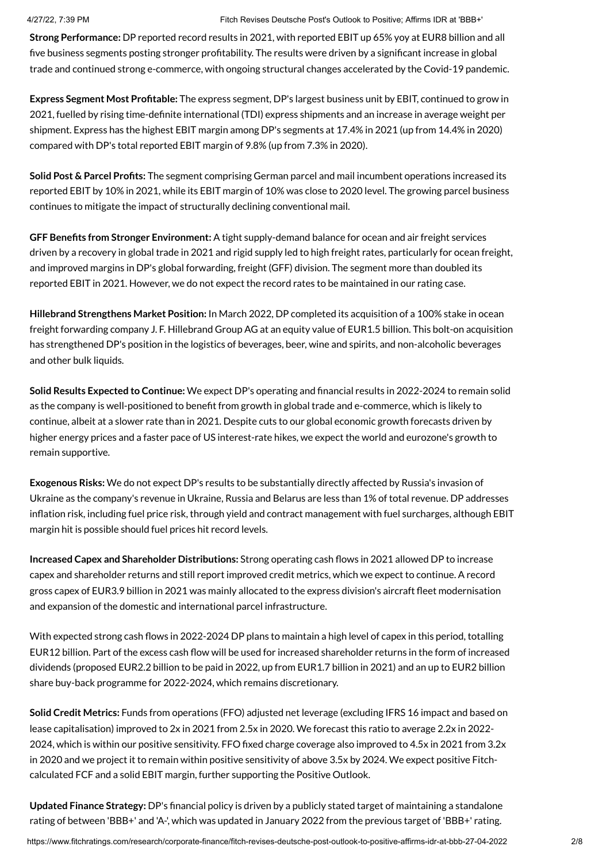#### 4/27/22, 7:39 PM Fitch Revises Deutsche Post's Outlook to Positive; Affirms IDR at 'BBB+'

**Strong Performance:** DP reported record results in 2021, with reported EBIT up 65% yoy at EUR8 billion and all five business segments posting stronger profitability. The results were driven by a significant increase in global trade and continued strong e-commerce, with ongoing structural changes accelerated by the Covid-19 pandemic.

**Express Segment Most Profitable:** The express segment, DP's largest business unit by EBIT, continued to grow in 2021, fuelled by rising time-definite international (TDI) express shipments and an increase in average weight per shipment. Express has the highest EBIT margin among DP's segments at 17.4% in 2021 (up from 14.4% in 2020) compared with DP's total reported EBIT margin of 9.8% (up from 7.3% in 2020).

**Solid Post & Parcel Profits:** The segment comprising German parcel and mail incumbent operations increased its reported EBIT by 10% in 2021, while its EBIT margin of 10% was close to 2020 level. The growing parcel business continues to mitigate the impact of structurally declining conventional mail.

**GFF Benefits from Stronger Environment:** A tight supply-demand balance for ocean and air freight services driven by a recovery in global trade in 2021 and rigid supply led to high freight rates, particularly for ocean freight, and improved margins in DP's global forwarding, freight (GFF) division. The segment more than doubled its reported EBIT in 2021. However, we do not expect the record rates to be maintained in our rating case.

**Hillebrand Strengthens Market Position:** In March 2022, DP completed its acquisition of a 100% stake in ocean freight forwarding company J. F. Hillebrand Group AG at an equity value of EUR1.5 billion. This bolt-on acquisition has strengthened DP's position in the logistics of beverages, beer, wine and spirits, and non-alcoholic beverages and other bulk liquids.

**Solid Results Expected to Continue:** We expect DP's operating and financial results in 2022-2024 to remain solid as the company is well-positioned to benefit from growth in global trade and e-commerce, which is likely to continue, albeit at a slower rate than in 2021. Despite cuts to our global economic growth forecasts driven by higher energy prices and a faster pace of US interest-rate hikes, we expect the world and eurozone's growth to remain supportive.

**Exogenous Risks:** We do not expect DP's results to be substantially directly affected by Russia's invasion of Ukraine as the company's revenue in Ukraine, Russia and Belarus are less than 1% of total revenue. DP addresses inflation risk, including fuel price risk, through yield and contract management with fuel surcharges, although EBIT margin hit is possible should fuel prices hit record levels.

**Increased Capex and Shareholder Distributions:** Strong operating cash flows in 2021 allowed DP to increase capex and shareholder returns and still report improved credit metrics, which we expect to continue. A record gross capex of EUR3.9 billion in 2021 was mainly allocated to the express division's aircraft fleet modernisation and expansion of the domestic and international parcel infrastructure.

With expected strong cash flows in 2022-2024 DP plans to maintain a high level of capex in this period, totalling EUR12 billion. Part of the excess cash flow will be used for increased shareholder returns in the form of increased dividends (proposed EUR2.2 billion to be paid in 2022, up from EUR1.7 billion in 2021) and an up to EUR2 billion share buy-back programme for 2022-2024, which remains discretionary.

**Solid Credit Metrics:** Funds from operations (FFO) adjusted net leverage (excluding IFRS 16 impact and based on lease capitalisation) improved to 2x in 2021 from 2.5x in 2020. We forecast this ratio to average 2.2x in 2022- 2024, which is within our positive sensitivity. FFO fixed charge coverage also improved to 4.5x in 2021 from 3.2x in 2020 and we project it to remain within positive sensitivity of above 3.5x by 2024. We expect positive Fitchcalculated FCF and a solid EBIT margin, further supporting the Positive Outlook.

**Updated Finance Strategy:** DP's financial policy is driven by a publicly stated target of maintaining a standalone rating of between 'BBB+' and 'A-', which was updated in January 2022 from the previous target of 'BBB+' rating.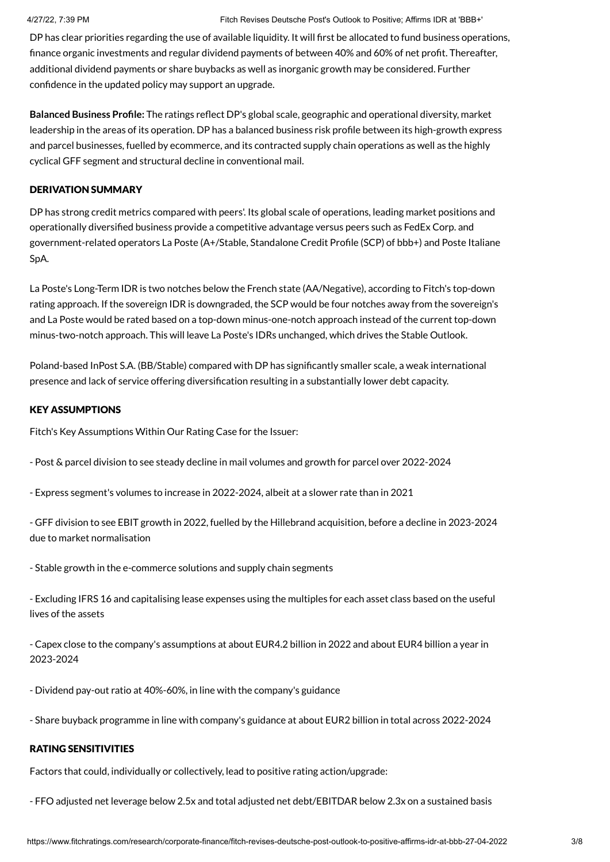DP has clear priorities regarding the use of available liquidity. It will first be allocated to fund business operations, finance organic investments and regular dividend payments of between 40% and 60% of net profit. Thereafter, additional dividend payments or share buybacks as well as inorganic growth may be considered. Further confidence in the updated policy may support an upgrade.

**Balanced Business Profile:** The ratings reflect DP's global scale, geographic and operational diversity, market leadership in the areas of its operation. DP has a balanced business risk profile between its high-growth express and parcel businesses, fuelled by ecommerce, and its contracted supply chain operations as well as the highly cyclical GFF segment and structural decline in conventional mail.

#### DERIVATION SUMMARY

DP has strong credit metrics compared with peers'. Its global scale of operations, leading market positions and operationally diversified business provide a competitive advantage versus peers such as FedEx Corp. and government-related operators La Poste (A+/Stable, Standalone Credit Profile (SCP) of bbb+) and Poste Italiane SpA.

La Poste's Long-Term IDR is two notches below the French state (AA/Negative), according to Fitch's top-down rating approach. If the sovereign IDR is downgraded, the SCP would be four notches away from the sovereign's and La Poste would be rated based on a top-down minus-one-notch approach instead of the current top-down minus-two-notch approach. This will leave La Poste's IDRs unchanged, which drives the Stable Outlook.

Poland-based InPost S.A. (BB/Stable) compared with DP has significantly smaller scale, a weak international presence and lack of service offering diversification resulting in a substantially lower debt capacity.

#### KEY ASSUMPTIONS

Fitch's Key Assumptions Within Our Rating Case for the Issuer:

- Post & parcel division to see steady decline in mail volumes and growth for parcel over 2022-2024

- Express segment's volumes to increase in 2022-2024, albeit at a slower rate than in 2021

- GFF division to see EBIT growth in 2022, fuelled by the Hillebrand acquisition, before a decline in 2023-2024 due to market normalisation

- Stable growth in the e-commerce solutions and supply chain segments

- Excluding IFRS 16 and capitalising lease expenses using the multiples for each asset class based on the useful lives of the assets

- Capex close to the company's assumptions at about EUR4.2 billion in 2022 and about EUR4 billion a year in 2023-2024

- Dividend pay-out ratio at 40%-60%, in line with the company's guidance

- Share buyback programme in line with company's guidance at about EUR2 billion in total across 2022-2024

#### RATING SENSITIVITIES

Factors that could, individually or collectively, lead to positive rating action/upgrade:

- FFO adjusted net leverage below 2.5x and total adjusted net debt/EBITDAR below 2.3x on a sustained basis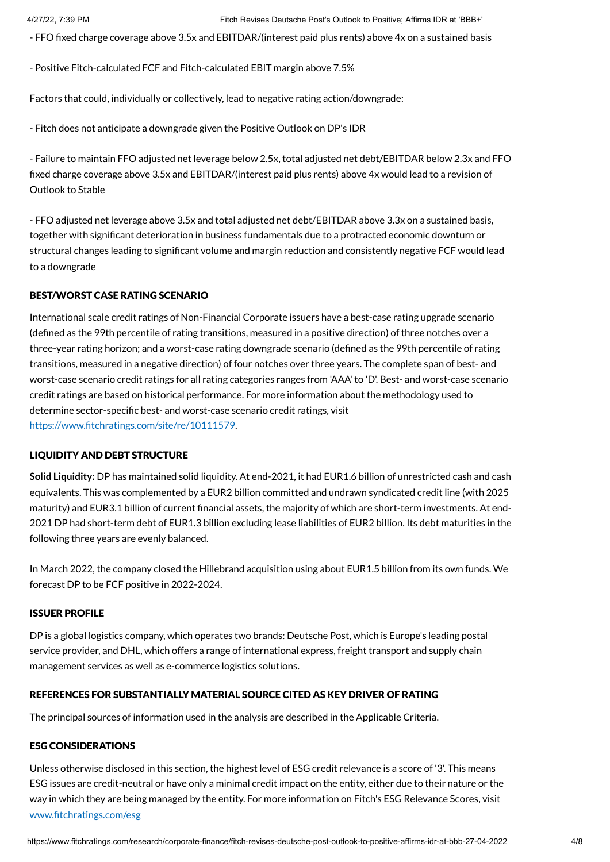- FFO fixed charge coverage above 3.5x and EBITDAR/(interest paid plus rents) above 4x on a sustained basis

- Positive Fitch-calculated FCF and Fitch-calculated EBIT margin above 7.5%

Factors that could, individually or collectively, lead to negative rating action/downgrade:

- Fitch does not anticipate a downgrade given the Positive Outlook on DP's IDR

- Failure to maintain FFO adjusted net leverage below 2.5x, total adjusted net debt/EBITDAR below 2.3x and FFO fixed charge coverage above 3.5x and EBITDAR/(interest paid plus rents) above 4x would lead to a revision of Outlook to Stable

- FFO adjusted net leverage above 3.5x and total adjusted net debt/EBITDAR above 3.3x on a sustained basis, together with significant deterioration in business fundamentals due to a protracted economic downturn or structural changes leading to significant volume and margin reduction and consistently negative FCF would lead to a downgrade

#### BEST/WORST CASE RATING SCENARIO

International scale credit ratings of Non-Financial Corporate issuers have a best-case rating upgrade scenario (defined as the 99th percentile of rating transitions, measured in a positive direction) of three notches over a three-year rating horizon; and a worst-case rating downgrade scenario (defined as the 99th percentile of rating transitions, measured in a negative direction) of four notches over three years. The complete span of best- and worst-case scenario credit ratings for all rating categories ranges from 'AAA' to 'D'. Best- and worst-case scenario credit ratings are based on historical performance. For more information about the methodology used to determine sector-specific best- and worst-case scenario credit ratings, visit [https://www.fitchratings.com/site/re/10111579.](https://www.fitchratings.com/site/re/10111579)

#### LIQUIDITY AND DEBT STRUCTURE

**Solid Liquidity:** DP has maintained solid liquidity. At end-2021, it had EUR1.6 billion of unrestricted cash and cash equivalents. This was complemented by a EUR2 billion committed and undrawn syndicated credit line (with 2025 maturity) and EUR3.1 billion of current financial assets, the majority of which are short-term investments. At end-2021 DP had short-term debt of EUR1.3 billion excluding lease liabilities of EUR2 billion. Its debt maturities in the following three years are evenly balanced.

In March 2022, the company closed the Hillebrand acquisition using about EUR1.5 billion from its own funds. We forecast DP to be FCF positive in 2022-2024.

#### ISSUER PROFILE

DP is a global logistics company, which operates two brands: Deutsche Post, which is Europe's leading postal service provider, and DHL, which offers a range of international express, freight transport and supply chain management services as well as e-commerce logistics solutions.

#### REFERENCES FOR SUBSTANTIALLY MATERIAL SOURCE CITED AS KEY DRIVER OF RATING

The principal sources of information used in the analysis are described in the Applicable Criteria.

#### ESG CONSIDERATIONS

Unless otherwise disclosed in this section, the highest level of ESG credit relevance is a score of '3'. This means ESG issues are credit-neutral or have only a minimal credit impact on the entity, either due to their nature or the way in which they are being managed by the entity. For more information on Fitch's ESG Relevance Scores, visit [www.fitchratings.com/esg](http://www.fitchratings.com/esg)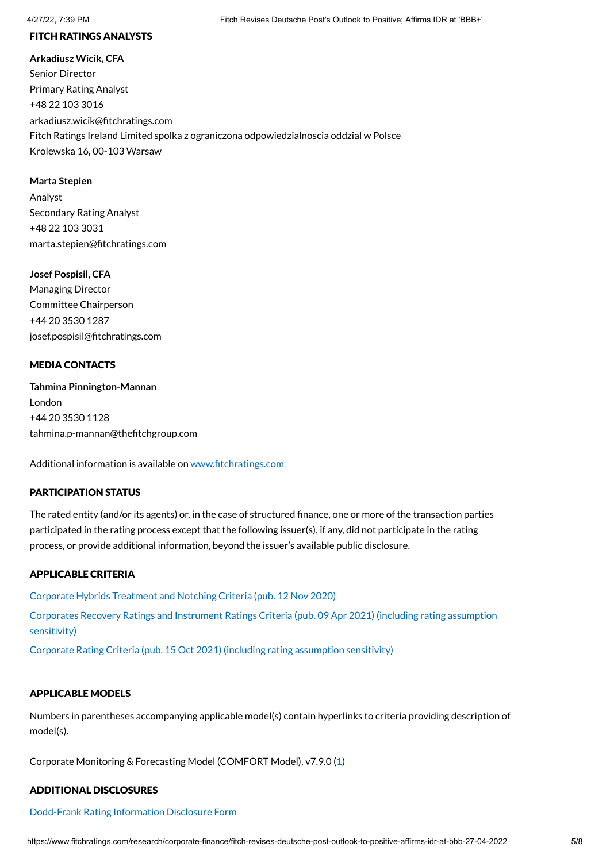## FITCH RATINGS ANALYSTS

**Arkadiusz Wicik, CFA** Senior Director Primary Rating Analyst +48 22 103 3016 arkadiusz.wicik@fitchratings.com Fitch Ratings Ireland Limited spolka z ograniczona odpowiedzialnoscia oddzial w Polsce Krolewska 16, 00-103 Warsaw

#### **Marta Stepien**

Analyst Secondary Rating Analyst +48 22 103 3031 marta.stepien@fitchratings.com

#### **Josef Pospisil, CFA**

Managing Director Committee Chairperson +44 20 3530 1287 josef.pospisil@fitchratings.com

#### MEDIA CONTACTS

**Tahmina Pinnington-Mannan** London +44 20 3530 1128 tahmina.p-mannan@thefitchgroup.com

Additional information is available on [www.fitchratings.com](http://www.fitchratings.com/)

### PARTICIPATION STATUS

The rated entity (and/or its agents) or, in the case of structured finance, one or more of the transaction parties participated in the rating process except that the following issuer(s), if any, did not participate in the rating process, or provide additional information, beyond the issuer's available public disclosure.

#### APPLICABLE CRITERIA

Corporate Hybrids Treatment [and Notching](https://www.fitchratings.com/research/corporate-finance/corporate-hybrids-treatment-notching-criteria-12-11-2020) Criteria (pub. 12 Nov 2020)

Corporates Recovery Ratings and Instrument [Ratings Criteria](https://www.fitchratings.com/research/corporate-finance/corporates-recovery-ratings-instrument-ratings-criteria-09-04-2021) (pub. 09 Apr 2021) (including rating assumption sensitivity)

Corporate Rating Criteria (pub. 15 Oct 2021) (including rating [assumption](https://www.fitchratings.com/research/corporate-finance/corporate-rating-criteria-15-10-2021) sensitivity)

#### APPLICABLE MODELS

Numbers in parentheses accompanying applicable model(s) contain hyperlinks to criteria providing description of model(s).

Corporate Monitoring & Forecasting Model (COMFORT Model), v7.9.0 ([1\)](https://www.fitchratings.com/research/corporate-finance/corporate-rating-criteria-15-10-2021)

#### ADDITIONAL DISCLOSURES

[Dodd-Frank](https://www.fitchratings.com/research/corporate-finance/fitch-revises-deutsche-post-outlook-to-positive-affirms-idr-at-bbb-27-04-2022/dodd-frank-disclosure) Rating Information Disclosure Form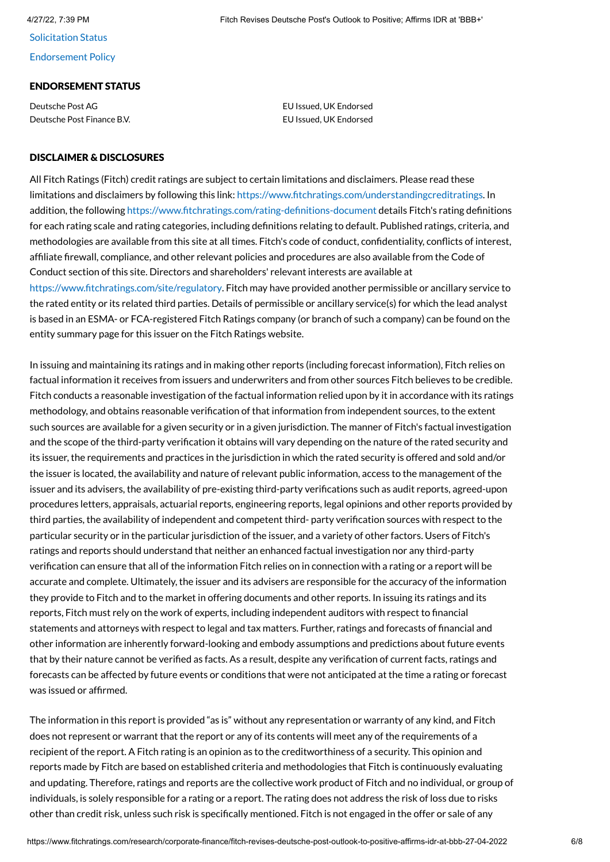## Solicitation Status

[Endorsement](#page-6-0) Policy

### ENDORSEMENT STATUS

Deutsche Post AG EU Issued, UK Endorsed Deutsche Post Finance B.V. EU Issued, UK Endorsed

#### DISCLAIMER & DISCLOSURES

All Fitch Ratings (Fitch) credit ratings are subject to certain limitations and disclaimers. Please read these limitations and disclaimers by following this link: [https://www.fitchratings.com/understandingcreditratings.](https://www.fitchratings.com/UNDERSTANDINGCREDITRATINGS) In addition, the following [https://www.fitchratings.com/rating-definitions-document](https://www.fitchratings.com/RATING-DEFINITIONS-DOCUMENT) details Fitch's rating definitions for each rating scale and rating categories, including definitions relating to default. Published ratings, criteria, and methodologies are available from this site at all times. Fitch's code of conduct, confidentiality, conflicts of interest, affiliate firewall, compliance, and other relevant policies and procedures are also available from the Code of Conduct section of this site. Directors and shareholders' relevant interests are available at [https://www.fitchratings.com/site/regulatory](https://www.fitchratings.com/SITE/REGULATORY). Fitch may have provided another permissible or ancillary service to the rated entity or its related third parties. Details of permissible or ancillary service(s) for which the lead analyst is based in an ESMA- or FCA-registered Fitch Ratings company (or branch of such a company) can be found on the entity summary page for this issuer on the Fitch Ratings website.

In issuing and maintaining its ratings and in making other reports (including forecast information), Fitch relies on factual information it receives from issuers and underwriters and from other sources Fitch believes to be credible. Fitch conducts a reasonable investigation of the factual information relied upon by it in accordance with its ratings methodology, and obtains reasonable verification of that information from independent sources, to the extent such sources are available for a given security or in a given jurisdiction. The manner of Fitch's factual investigation and the scope of the third-party verification it obtains will vary depending on the nature of the rated security and its issuer, the requirements and practices in the jurisdiction in which the rated security is offered and sold and/or the issuer is located, the availability and nature of relevant public information, access to the management of the issuer and its advisers, the availability of pre-existing third-party verifications such as audit reports, agreed-upon procedures letters, appraisals, actuarial reports, engineering reports, legal opinions and other reports provided by third parties, the availability of independent and competent third- party verification sources with respect to the particular security or in the particular jurisdiction of the issuer, and a variety of other factors. Users of Fitch's ratings and reports should understand that neither an enhanced factual investigation nor any third-party verification can ensure that all of the information Fitch relies on in connection with a rating or a report will be accurate and complete. Ultimately, the issuer and its advisers are responsible for the accuracy of the information they provide to Fitch and to the market in offering documents and other reports. In issuing its ratings and its reports, Fitch must rely on the work of experts, including independent auditors with respect to financial statements and attorneys with respect to legal and tax matters. Further, ratings and forecasts of financial and other information are inherently forward-looking and embody assumptions and predictions about future events that by their nature cannot be verified as facts. As a result, despite any verification of current facts, ratings and forecasts can be affected by future events or conditions that were not anticipated at the time a rating or forecast was issued or affirmed.

The information in this report is provided "as is" without any representation or warranty of any kind, and Fitch does not represent or warrant that the report or any of its contents will meet any of the requirements of a recipient of the report. A Fitch rating is an opinion as to the creditworthiness of a security. This opinion and reports made by Fitch are based on established criteria and methodologies that Fitch is continuously evaluating and updating. Therefore, ratings and reports are the collective work product of Fitch and no individual, or group of individuals, is solely responsible for a rating or a report. The rating does not address the risk of loss due to risks other than credit risk, unless such risk is specifically mentioned. Fitch is not engaged in the offer or sale of any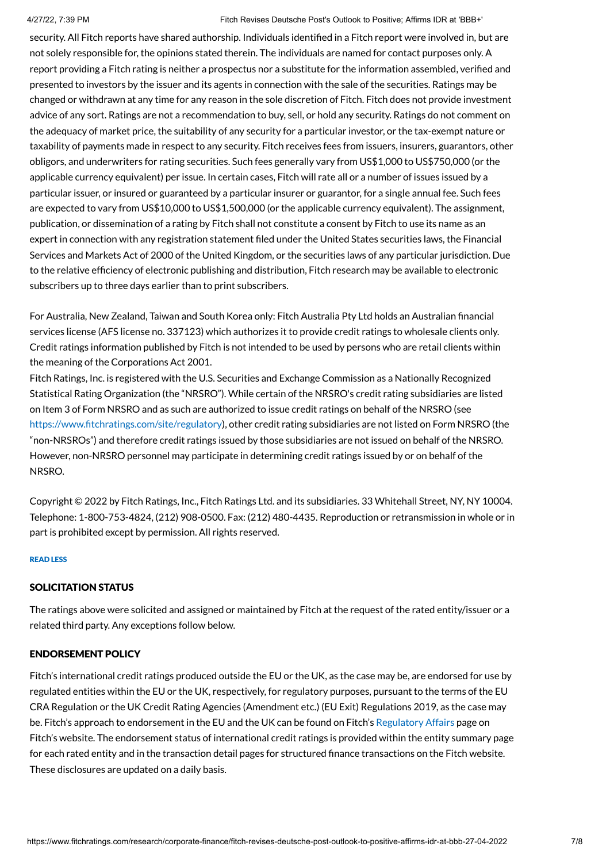#### 4/27/22, 7:39 PM Fitch Revises Deutsche Post's Outlook to Positive; Affirms IDR at 'BBB+'

security. All Fitch reports have shared authorship. Individuals identified in a Fitch report were involved in, but are not solely responsible for, the opinions stated therein. The individuals are named for contact purposes only. A report providing a Fitch rating is neither a prospectus nor a substitute for the information assembled, verified and presented to investors by the issuer and its agents in connection with the sale of the securities. Ratings may be changed or withdrawn at any time for any reason in the sole discretion of Fitch. Fitch does not provide investment advice of any sort. Ratings are not a recommendation to buy, sell, or hold any security. Ratings do not comment on the adequacy of market price, the suitability of any security for a particular investor, or the tax-exempt nature or taxability of payments made in respect to any security. Fitch receives fees from issuers, insurers, guarantors, other obligors, and underwriters for rating securities. Such fees generally vary from US\$1,000 to US\$750,000 (or the applicable currency equivalent) per issue. In certain cases, Fitch will rate all or a number of issues issued by a particular issuer, or insured or guaranteed by a particular insurer or guarantor, for a single annual fee. Such fees are expected to vary from US\$10,000 to US\$1,500,000 (or the applicable currency equivalent). The assignment, publication, or dissemination of a rating by Fitch shall not constitute a consent by Fitch to use its name as an expert in connection with any registration statement filed under the United States securities laws, the Financial Services and Markets Act of 2000 of the United Kingdom, or the securities laws of any particular jurisdiction. Due to the relative efficiency of electronic publishing and distribution, Fitch research may be available to electronic subscribers up to three days earlier than to print subscribers.

For Australia, New Zealand, Taiwan and South Korea only: Fitch Australia Pty Ltd holds an Australian financial services license (AFS license no. 337123) which authorizes it to provide credit ratings to wholesale clients only. Credit ratings information published by Fitch is not intended to be used by persons who are retail clients within the meaning of the Corporations Act 2001.

Fitch Ratings, Inc. is registered with the U.S. Securities and Exchange Commission as a Nationally Recognized Statistical Rating Organization (the "NRSRO"). While certain of the NRSRO's credit rating subsidiaries are listed on Item 3 of Form NRSRO and as such are authorized to issue credit ratings on behalf of the NRSRO (see <https://www.fitchratings.com/site/regulatory>), other credit rating subsidiaries are not listed on Form NRSRO (the "non-NRSROs") and therefore credit ratings issued by those subsidiaries are not issued on behalf of the NRSRO. However, non-NRSRO personnel may participate in determining credit ratings issued by or on behalf of the NRSRO.

Copyright © 2022 by Fitch Ratings, Inc., Fitch Ratings Ltd. and its subsidiaries. 33 Whitehall Street, NY, NY 10004. Telephone: 1-800-753-4824, (212) 908-0500. Fax: (212) 480-4435. Reproduction or retransmission in whole or in part is prohibited except by permission. All rights reserved.

#### READ LESS

#### SOLICITATION STATUS

The ratings above were solicited and assigned or maintained by Fitch at the request of the rated entity/issuer or a related third party. Any exceptions follow below.

#### <span id="page-6-0"></span>ENDORSEMENT POLICY

Fitch's international credit ratings produced outside the EU or the UK, as the case may be, are endorsed for use by regulated entities within the EU or the UK, respectively, for regulatory purposes, pursuant to the terms of the EU CRA Regulation or the UK Credit Rating Agencies (Amendment etc.) (EU Exit) Regulations 2019, as the case may be. Fitch's approach to endorsement in the EU and the UK can be found on Fitch's [Regulatory](https://www.fitchratings.com/regulatory) Affairs page on Fitch's website. The endorsement status of international credit ratings is provided within the entity summary page for each rated entity and in the transaction detail pages for structured finance transactions on the Fitch website. These disclosures are updated on a daily basis.